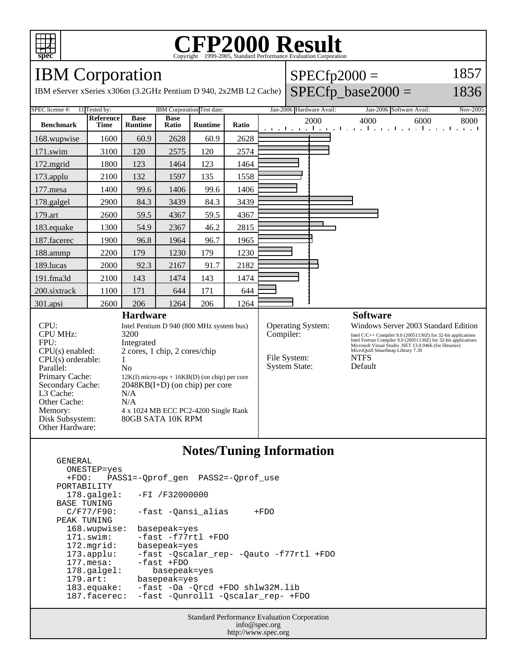

#### **CFP2000 Result** Copyright ©1999-2005, Standard Performance Evaluation Corporation

### IBM Corporation

GENERAL

IBM eServer xSeries x306m (3.2GHz Pentium D 940, 2x2MB L2 Cache)

| $\text{SPECfp2000} =$       |  |  |
|-----------------------------|--|--|
| $\sim$ $\sim$ $\sim$ $\sim$ |  |  |

#### $SPECfp\_base2000 =$

1857 1836

#### SPEC license #: 11 Tested by: IBM Corporation Test date: Jan-2006 Hardware Avail: Jan-2006 Software Avail: Nov-2005 **Benchmark Reference Time Base Runtime Base Ratio Runtime Ratio** 2000 4000 6000 8000 168.wupwise 1600 60.9 2628 60.9 2628 171.swim | 3100 | 120 | 2575 | 120 | 2574 172.mgrid | 1800 | 123 | 1464 | 123 | 1464 173.applu | 2100 | 132 | 1597 | 135 | 1558 177.mesa | 1400 | 99.6 | 1406 | 99.6 | 1406 178.galgel | 2900 | 84.3 | 3439 | 84.3 | 3439 179.art | 2600 | 59.5 | 4367 | 59.5 | 4367 183.equake 1300 54.9 2367 46.2 2815 187.facerec | 1900 | 96.8 | 1964 | 96.7 | 1965 188.ammp | 2200 | 179 | 1230 | 179 | 1230 189.lucas | 2000 | 92.3 | 2167 | 91.7 | 2182 191.fma3d | 2100 | 143 | 1474 | 143 | 1474 200.sixtrack 1100 171 644 171 644 301.apsi 2600 206 1264 206 1264 **Hardware** CPU: Intel Pentium D 940 (800 MHz system bus) CPU MHz: 3200 FPU: Integrated  $CPU(s)$  enabled:  $2 \text{ cores}, 1 \text{ chip}, 2 \text{ cores/chip}$ <br>CPU(s) orderable:  $1$  $CPU(s)$  orderable: Parallel: No Primary Cache: 12K(I) micro-ops + 16KB(D) (on chip) per core Secondary Cache: 2048KB(I+D) (on chip) per core L3 Cache: N/A Other Cache: N/A Memory: 4 x 1024 MB ECC PC2-4200 Single Rank Disk Subsystem: 80GB SATA 10K RPM Other Hardware: **Software** Operating System: Windows Server 2003 Standard Edition Compiler: Intel C/C++ Compiler 9.0 (20051130Z) for 32-bit applications Intel Fortran Compiler 9.0 (20051130Z) for 32-bit applications Microsoft Visual Studio .NET 13.0.9466 (for libraries) MicroQuill Smartheap Library 7.30 File System: NTFS<br>System State: Default System State:

#### **Notes/Tuning Information**

 ONESTEP=yes +FDO: PASS1=-Qprof\_gen PASS2=-Qprof\_use PORTABILITY 178.galgel: -FI /F32000000 BASE TUNING<br>C/F77/F90: -fast -Qansi\_alias +FDO PEAK TUNING<br>168.wupwise: basepeak=yes 171.swim: -fast -f77rtl +FDO 172.mgrid: basepeak=yes 173.applu: -fast -Qscalar\_rep- -Qauto -f77rtl +FDO 177.mesa: -fast +FDO<br>178.galgel: basepeal 178.galgel: basepeak=yes<br>179.art: basepeak=yes basepeak=yes 183.equake: -fast -Oa -Qrcd +FDO shlw32M.lib<br>187.facerec: -fast -Qunroll1 -Qscalar\_rep- +F -fast -Qunroll1 -Qscalar\_rep- +FDO

> Standard Performance Evaluation Corporation info@spec.org http://www.spec.org